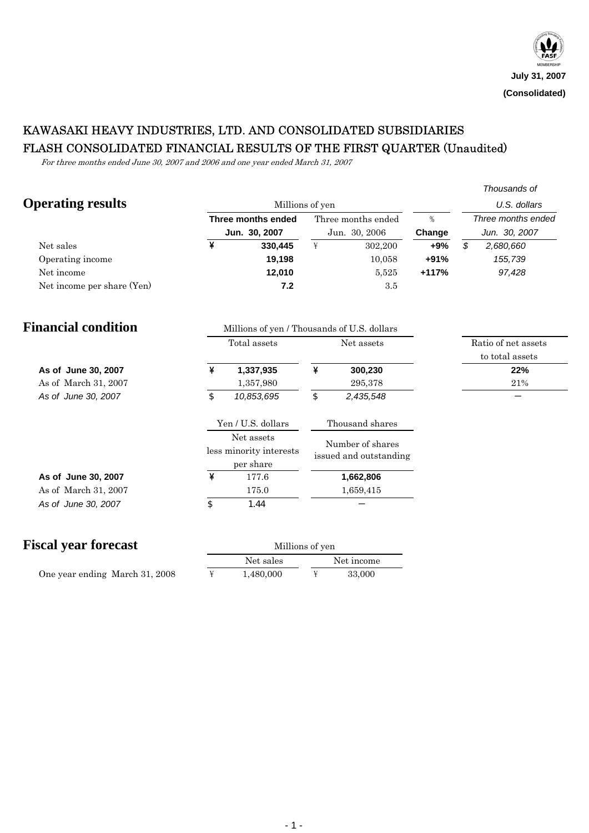# KAWASAKI HEAVY INDUSTRIES, LTD. AND CONSOLIDATED SUBSIDIARIES FLASH CONSOLIDATED FINANCIAL RESULTS OF THE FIRST QUARTER (Unaudited)

For three months ended June 30, 2007 and 2006 and one year ended March 31, 2007

|                             |                                                           |                                             |                                                                                                                                                                                                                                                                                                                                                                                                                                                                   |                    |         |                            | Thousands of        |
|-----------------------------|-----------------------------------------------------------|---------------------------------------------|-------------------------------------------------------------------------------------------------------------------------------------------------------------------------------------------------------------------------------------------------------------------------------------------------------------------------------------------------------------------------------------------------------------------------------------------------------------------|--------------------|---------|----------------------------|---------------------|
| <b>Operating results</b>    |                                                           | Millions of yen                             |                                                                                                                                                                                                                                                                                                                                                                                                                                                                   |                    |         | U.S. dollars               |                     |
|                             |                                                           | Three months ended                          |                                                                                                                                                                                                                                                                                                                                                                                                                                                                   | Three months ended | $\%$    |                            | Three months ended  |
|                             |                                                           | Jun. 30, 2007                               |                                                                                                                                                                                                                                                                                                                                                                                                                                                                   | Jun. 30, 2006      | Change  |                            | Jun. 30, 2007       |
| Net sales                   | $\overline{\mathbf{y}}$                                   | 330,445                                     | $\ddot{f}$                                                                                                                                                                                                                                                                                                                                                                                                                                                        | 302,200            | +9%     | $\boldsymbol{\mathcal{S}}$ | 2,680,660           |
| Operating income            |                                                           | 19,198                                      |                                                                                                                                                                                                                                                                                                                                                                                                                                                                   | 10,058             | $+91%$  |                            | 155,739             |
| Net income                  |                                                           | 12,010                                      |                                                                                                                                                                                                                                                                                                                                                                                                                                                                   | 5,525              | $+117%$ |                            | 97,428              |
| Net income per share (Yen)  |                                                           | 7.2                                         |                                                                                                                                                                                                                                                                                                                                                                                                                                                                   | 3.5                |         |                            |                     |
| <b>Financial condition</b>  |                                                           | Millions of yen / Thousands of U.S. dollars |                                                                                                                                                                                                                                                                                                                                                                                                                                                                   |                    |         |                            |                     |
|                             |                                                           | Total assets                                |                                                                                                                                                                                                                                                                                                                                                                                                                                                                   | Net assets         |         |                            | Ratio of net assets |
|                             |                                                           |                                             |                                                                                                                                                                                                                                                                                                                                                                                                                                                                   |                    |         |                            | to total assets     |
| As of June 30, 2007         | ¥                                                         | 1,337,935                                   | ¥                                                                                                                                                                                                                                                                                                                                                                                                                                                                 | 300,230            |         |                            | 22%                 |
| As of March 31, 2007        |                                                           | 1,357,980                                   |                                                                                                                                                                                                                                                                                                                                                                                                                                                                   | 295,378            |         |                            | 21%                 |
| As of June 30, 2007         | $\mathcal{S}% _{M_{1},M_{2}}^{\alpha,\beta}(\varepsilon)$ | 10,853,695                                  | $\mathcal{S}% _{M_{1},M_{2}}^{\alpha,\beta}(\mathcal{M}_{M_{1},M_{2}}^{\alpha,\beta}(\mathcal{M}_{M_{1},M_{2}}^{\alpha,\beta}(\mathcal{M}_{M_{1},M_{2}}^{\alpha,\beta}(\mathcal{M}_{M_{1},M_{2}}^{\alpha,\beta}(\mathcal{M}_{M_{1},M_{2}}^{\alpha,\beta}(\mathcal{M}_{M_{1},M_{2}}^{\alpha,\beta}(\mathcal{M}_{M_{1},M_{2}}^{\alpha,\beta}(\mathcal{M}_{M_{1},M_{2}}^{\alpha,\beta}(\mathcal{M}_{M_{1},M_{2}}^{\alpha,\beta}(\mathcal{M}_{M_{1},M_{2}}^{\alpha,\$ | 2,435,548          |         |                            |                     |
|                             |                                                           | Yen / U.S. dollars                          |                                                                                                                                                                                                                                                                                                                                                                                                                                                                   | Thousand shares    |         |                            |                     |
|                             | Net assets<br>less minority interests<br>per share        |                                             | Number of shares<br>issued and outstanding                                                                                                                                                                                                                                                                                                                                                                                                                        |                    |         |                            |                     |
| As of June 30, 2007         | ¥                                                         | 177.6                                       |                                                                                                                                                                                                                                                                                                                                                                                                                                                                   | 1,662,806          |         |                            |                     |
| As of March 31, 2007        |                                                           | 175.0                                       |                                                                                                                                                                                                                                                                                                                                                                                                                                                                   | 1,659,415          |         |                            |                     |
| As of June 30, 2007         | \$                                                        | 1.44                                        |                                                                                                                                                                                                                                                                                                                                                                                                                                                                   |                    |         |                            |                     |
| <b>Fiscal year forecast</b> |                                                           | Millions of yen                             |                                                                                                                                                                                                                                                                                                                                                                                                                                                                   |                    |         |                            |                     |
|                             |                                                           | $\mathbf{X}$<br>$\mathbf{I}$                |                                                                                                                                                                                                                                                                                                                                                                                                                                                                   |                    |         |                            |                     |

| cal year forecast              |           | Millions of yen<br>Net income<br>33,000 |  |  |
|--------------------------------|-----------|-----------------------------------------|--|--|
|                                | Net sales |                                         |  |  |
| One year ending March 31, 2008 | 1.480.000 |                                         |  |  |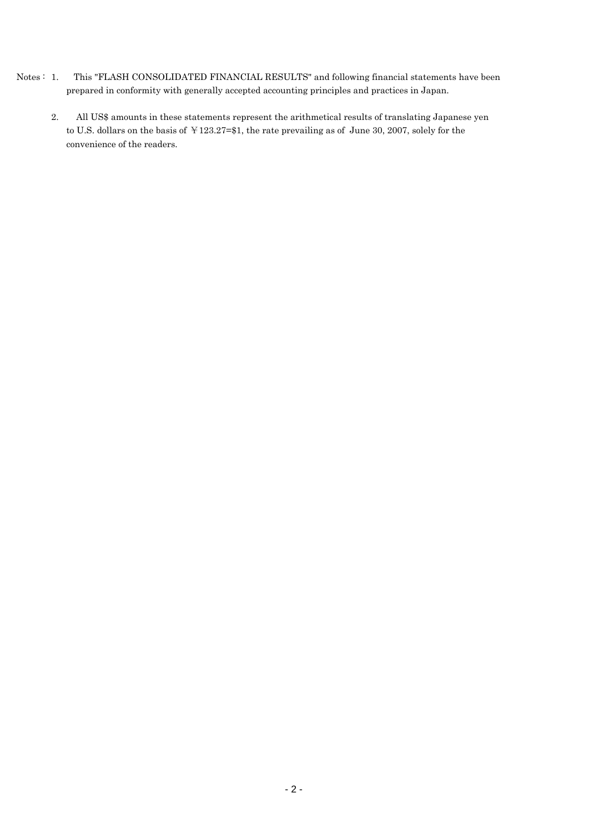- Notes : 1. This "FLASH CONSOLIDATED FINANCIAL RESULTS" and following financial statements have been prepared in conformity with generally accepted accounting principles and practices in Japan.
	- 2. All US\$ amounts in these statements represent the arithmetical results of translating Japanese yen to U.S. dollars on the basis of ¥123.27=\$1, the rate prevailing as of June 30, 2007, solely for the convenience of the readers.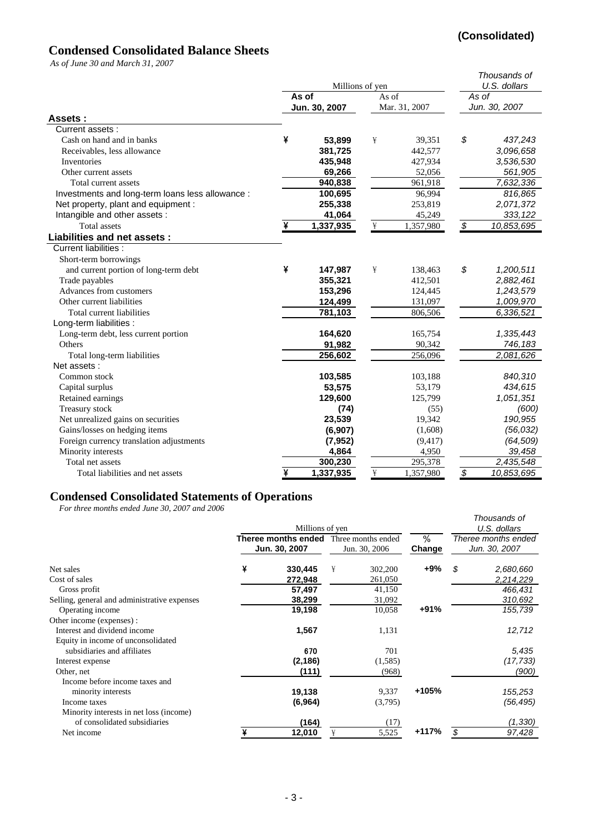## **(Consolidated)**

## **Condensed Consolidated Balance Sheets**

*As of June 30 and March 31, 2007*

| As 0] June 50 and march 51, 2007                 |   |                 |                                 |               |                          | Thousands of |  |
|--------------------------------------------------|---|-----------------|---------------------------------|---------------|--------------------------|--------------|--|
|                                                  |   | Millions of yen | U.S. dollars                    |               |                          |              |  |
|                                                  |   | As of           | As of                           |               | As of<br>Jun. 30, 2007   |              |  |
|                                                  |   | Jun. 30, 2007   |                                 | Mar. 31, 2007 |                          |              |  |
| Assets:                                          |   |                 |                                 |               |                          |              |  |
| Current assets :                                 |   |                 |                                 |               |                          |              |  |
| Cash on hand and in banks                        | ¥ | 53,899          | ¥                               | 39,351        | \$                       | 437,243      |  |
| Receivables, less allowance                      |   | 381,725         |                                 | 442,577       |                          | 3,096,658    |  |
| Inventories                                      |   | 435,948         |                                 | 427,934       |                          | 3,536,530    |  |
| Other current assets                             |   | 69,266          |                                 | 52,056        |                          | 561,905      |  |
| Total current assets                             |   | 940,838         |                                 | 961,918       |                          | 7,632,336    |  |
| Investments and long-term loans less allowance : |   | 100,695         |                                 | 96,994        |                          | 816,865      |  |
| Net property, plant and equipment :              |   | 255,338         |                                 | 253,819       |                          | 2,071,372    |  |
| Intangible and other assets :                    |   | 41,064          |                                 | 45,249        |                          | 333, 122     |  |
| <b>Total</b> assets                              | ¥ | 1,337,935       | $\frac{\mathbf{V}}{\mathbf{I}}$ | 1,357,980     | $\overline{\$}$          | 10,853,695   |  |
| <b>Liabilities and net assets:</b>               |   |                 |                                 |               |                          |              |  |
| Current liabilities :                            |   |                 |                                 |               |                          |              |  |
| Short-term borrowings                            |   |                 |                                 |               |                          |              |  |
| and current portion of long-term debt            | ¥ | 147,987         | ¥                               | 138,463       | \$                       | 1,200,511    |  |
| Trade payables                                   |   | 355,321         |                                 | 412,501       |                          | 2,882,461    |  |
| Advances from customers                          |   | 153,296         |                                 | 124,445       |                          | 1,243,579    |  |
| Other current liabilities                        |   | 124,499         |                                 | 131,097       |                          | 1,009,970    |  |
| Total current liabilities                        |   | 781,103         |                                 | 806,506       |                          | 6,336,521    |  |
| Long-term liabilities :                          |   |                 |                                 |               |                          |              |  |
| Long-term debt, less current portion             |   | 164,620         |                                 | 165,754       |                          | 1,335,443    |  |
| Others                                           |   | 91,982          |                                 | 90,342        |                          | 746,183      |  |
| Total long-term liabilities                      |   | 256,602         |                                 | 256,096       |                          | 2,081,626    |  |
| Net assets:                                      |   |                 |                                 |               |                          |              |  |
| Common stock                                     |   | 103,585         |                                 | 103,188       |                          | 840,310      |  |
| Capital surplus                                  |   | 53,575          |                                 | 53,179        |                          | 434,615      |  |
| Retained earnings                                |   | 129,600         |                                 | 125,799       |                          | 1,051,351    |  |
| Treasury stock                                   |   | (74)            |                                 | (55)          |                          | (600)        |  |
| Net unrealized gains on securities               |   | 23,539          |                                 | 19,342        |                          | 190,955      |  |
| Gains/losses on hedging items                    |   | (6,907)         |                                 | (1,608)       |                          | (56, 032)    |  |
| Foreign currency translation adjustments         |   | (7, 952)        |                                 | (9, 417)      |                          | (64, 509)    |  |
| Minority interests                               |   | 4,864           |                                 | 4,950         |                          | 39,458       |  |
| Total net assets                                 |   | 300,230         |                                 | 295,378       |                          | 2,435,548    |  |
| Total liabilities and net assets                 | ¥ | 1,337,935       | $\frac{\mathbf{V}}{\mathbf{H}}$ | 1,357,980     | $\overline{\mathcal{S}}$ | 10,853,695   |  |

#### **Condensed Consolidated Statements of Operations**

*For three months ended June 30, 2007 and 2006*

|                                              |   | Millions of yen                      |   |                                     |             |                                      | Thousands of<br>U.S. dollars |
|----------------------------------------------|---|--------------------------------------|---|-------------------------------------|-------------|--------------------------------------|------------------------------|
|                                              |   | Theree months ended<br>Jun. 30, 2007 |   | Three months ended<br>Jun. 30, 2006 | %<br>Change | Theree months ended<br>Jun. 30, 2007 |                              |
| Net sales                                    | ¥ | 330,445                              | ¥ | 302,200                             | +9%         | \$                                   | 2,680,660                    |
| Cost of sales                                |   | 272,948                              |   | 261,050                             |             |                                      | 2,214,229                    |
| Gross profit                                 |   | 57,497                               |   | 41,150                              |             |                                      | 466,431                      |
| Selling, general and administrative expenses |   | 38,299                               |   | 31,092                              |             |                                      | 310,692                      |
| Operating income                             |   | 19,198                               |   | 10,058                              | +91%        |                                      | 155,739                      |
| Other income (expenses):                     |   |                                      |   |                                     |             |                                      |                              |
| Interest and dividend income                 |   | 1,567                                |   | 1,131                               |             |                                      | 12,712                       |
| Equity in income of unconsolidated           |   |                                      |   |                                     |             |                                      |                              |
| subsidiaries and affiliates                  |   | 670                                  |   | 701                                 |             |                                      | 5,435                        |
| Interest expense                             |   | (2, 186)                             |   | (1,585)                             |             |                                      | (17, 733)                    |
| Other, net                                   |   | (111)                                |   | (968)                               |             |                                      | (900)                        |
| Income before income taxes and               |   |                                      |   |                                     |             |                                      |                              |
| minority interests                           |   | 19,138                               |   | 9,337                               | +105%       |                                      | 155,253                      |
| Income taxes                                 |   | (6,964)                              |   | (3,795)                             |             |                                      | (56, 495)                    |
| Minority interests in net loss (income)      |   |                                      |   |                                     |             |                                      |                              |
| of consolidated subsidiaries                 |   | (164)                                |   | (17)                                |             |                                      | (1, 330)                     |
| Net income                                   |   | 12,010                               | ¥ | 5,525                               | +117%       | \$                                   | 97,428                       |